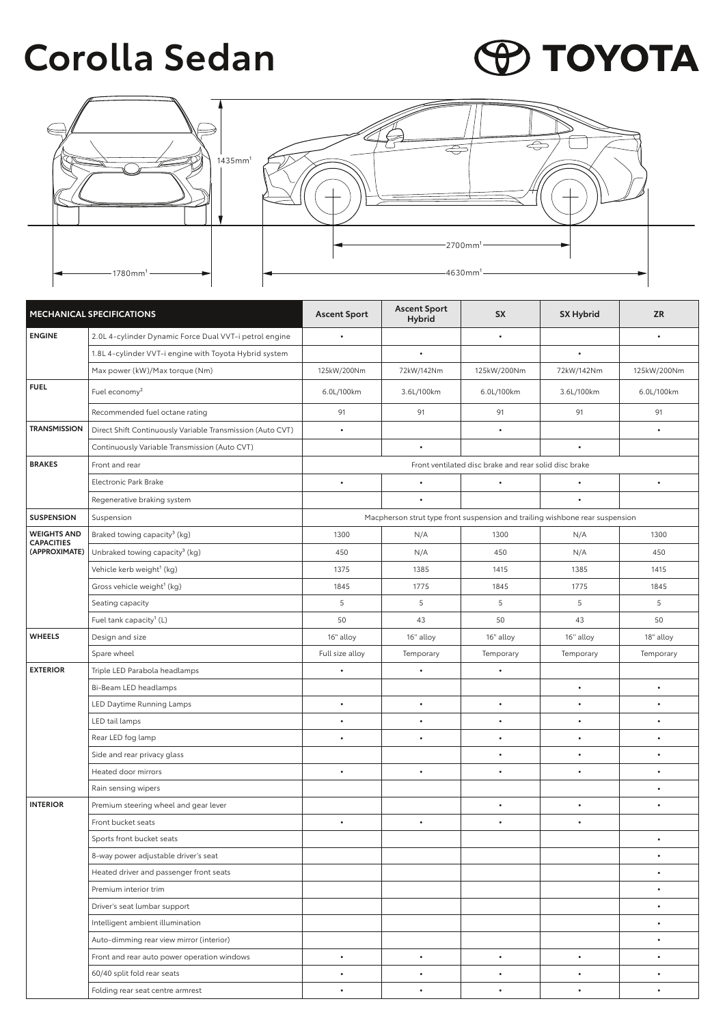## **Corolla Sedan**

## **PO TOYOTA**



| MECHANICAL SPECIFICATIONS                                |                                                            | <b>Ascent Sport</b>                                                          | <b>Ascent Sport</b><br><b>Hybrid</b> | <b>SX</b>   | <b>SX Hybrid</b> | <b>ZR</b>   |  |  |
|----------------------------------------------------------|------------------------------------------------------------|------------------------------------------------------------------------------|--------------------------------------|-------------|------------------|-------------|--|--|
| <b>ENGINE</b>                                            | 2.0L 4-cylinder Dynamic Force Dual VVT-i petrol engine     | $\bullet$                                                                    |                                      | $\bullet$   |                  | $\bullet$   |  |  |
|                                                          | 1.8L 4-cylinder VVT-i engine with Toyota Hybrid system     |                                                                              |                                      |             |                  |             |  |  |
|                                                          | Max power (kW)/Max torque (Nm)                             | 125kW/200Nm                                                                  | 72kW/142Nm                           | 125kW/200Nm | 72kW/142Nm       | 125kW/200Nm |  |  |
| <b>FUEL</b>                                              | Fuel economy <sup>2</sup>                                  | 6.0L/100km                                                                   | 3.6L/100km                           | 6.0L/100km  | 3.6L/100km       | 6.0L/100km  |  |  |
|                                                          | Recommended fuel octane rating                             | 91                                                                           | 91                                   | 91          | 91               | 91          |  |  |
| <b>TRANSMISSION</b>                                      | Direct Shift Continuously Variable Transmission (Auto CVT) | $\bullet$                                                                    |                                      | $\bullet$   |                  | $\bullet$   |  |  |
|                                                          | Continuously Variable Transmission (Auto CVT)              |                                                                              | $\bullet$                            |             | $\bullet$        |             |  |  |
| <b>BRAKES</b>                                            | Front and rear                                             | Front ventilated disc brake and rear solid disc brake                        |                                      |             |                  |             |  |  |
|                                                          | Electronic Park Brake                                      | $\bullet$                                                                    | $\bullet$                            | $\bullet$   | $\bullet$        | $\bullet$   |  |  |
|                                                          | Regenerative braking system                                |                                                                              |                                      |             |                  |             |  |  |
| <b>SUSPENSION</b>                                        | Suspension                                                 | Macpherson strut type front suspension and trailing wishbone rear suspension |                                      |             |                  |             |  |  |
| <b>WEIGHTS AND</b><br><b>CAPACITIES</b><br>(APPROXIMATE) | Braked towing capacity <sup>3</sup> (kg)                   | 1300                                                                         | N/A                                  | 1300        | N/A              | 1300        |  |  |
|                                                          | Unbraked towing capacity <sup>3</sup> (kg)                 | 450                                                                          | N/A                                  | 450         | N/A              | 450         |  |  |
|                                                          | Vehicle kerb weight <sup>1</sup> (kg)                      | 1375                                                                         | 1385                                 | 1415        | 1385             | 1415        |  |  |
|                                                          | Gross vehicle weight <sup>1</sup> (kg)                     | 1845                                                                         | 1775                                 | 1845        | 1775             | 1845        |  |  |
|                                                          | Seating capacity                                           | 5                                                                            | 5                                    | 5           | 5                | 5           |  |  |
|                                                          | Fuel tank capacity <sup>1</sup> (L)                        | 50                                                                           | 43                                   | 50          | 43               | 50          |  |  |
| <b>WHEELS</b>                                            | Design and size                                            | 16" alloy                                                                    | 16" alloy                            | 16" alloy   | 16" alloy        | 18" alloy   |  |  |
|                                                          | Spare wheel                                                | Full size alloy                                                              | Temporary                            | Temporary   | Temporary        | Temporary   |  |  |
| <b>EXTERIOR</b>                                          | Triple LED Parabola headlamps                              | $\bullet$                                                                    | $\bullet$                            | $\bullet$   |                  |             |  |  |
|                                                          | Bi-Beam LED headlamps                                      |                                                                              |                                      |             | $\bullet$        | $\bullet$   |  |  |
|                                                          | LED Daytime Running Lamps                                  |                                                                              | $\bullet$                            | ٠           | $\bullet$        | $\bullet$   |  |  |
|                                                          | LED tail lamps                                             |                                                                              | $\bullet$                            | $\bullet$   | $\bullet$        | $\bullet$   |  |  |
|                                                          | Rear LED fog lamp                                          |                                                                              | $\bullet$                            | $\bullet$   | $\bullet$        | $\bullet$   |  |  |
|                                                          | Side and rear privacy glass                                |                                                                              |                                      | $\bullet$   | $\bullet$        | $\bullet$   |  |  |
|                                                          | Heated door mirrors                                        | $\bullet$                                                                    | $\bullet$                            | $\bullet$   | $\bullet$        | $\bullet$   |  |  |
|                                                          | Rain sensing wipers                                        |                                                                              |                                      |             |                  | $\bullet$   |  |  |
| <b>INTERIOR</b>                                          | Premium steering wheel and gear lever                      |                                                                              |                                      | $\bullet$   | $\bullet$        | $\bullet$   |  |  |
|                                                          | Front bucket seats                                         | $\bullet$                                                                    | $\bullet$                            | $\bullet$   | $\bullet$        |             |  |  |
|                                                          | Sports front bucket seats                                  |                                                                              |                                      |             |                  | $\bullet$   |  |  |
|                                                          | 8-way power adjustable driver's seat                       |                                                                              |                                      |             |                  | $\bullet$   |  |  |
|                                                          | Heated driver and passenger front seats                    |                                                                              |                                      |             |                  | $\bullet$   |  |  |
|                                                          | Premium interior trim                                      |                                                                              |                                      |             |                  | $\bullet$   |  |  |
|                                                          | Driver's seat lumbar support                               |                                                                              |                                      |             |                  | $\bullet$   |  |  |
|                                                          | Intelligent ambient illumination                           |                                                                              |                                      |             |                  | $\bullet$   |  |  |
|                                                          | Auto-dimming rear view mirror (interior)                   |                                                                              |                                      |             |                  | $\bullet$   |  |  |
|                                                          | Front and rear auto power operation windows                | $\bullet$                                                                    | $\bullet$                            | $\bullet$   | $\bullet$        | $\bullet$   |  |  |
|                                                          | 60/40 split fold rear seats                                | $\bullet$                                                                    | $\bullet$                            | $\bullet$   | $\bullet$        | $\bullet$   |  |  |
|                                                          | Folding rear seat centre armrest                           | $\bullet$                                                                    | $\bullet$                            | $\bullet$   | $\bullet$        | $\bullet$   |  |  |